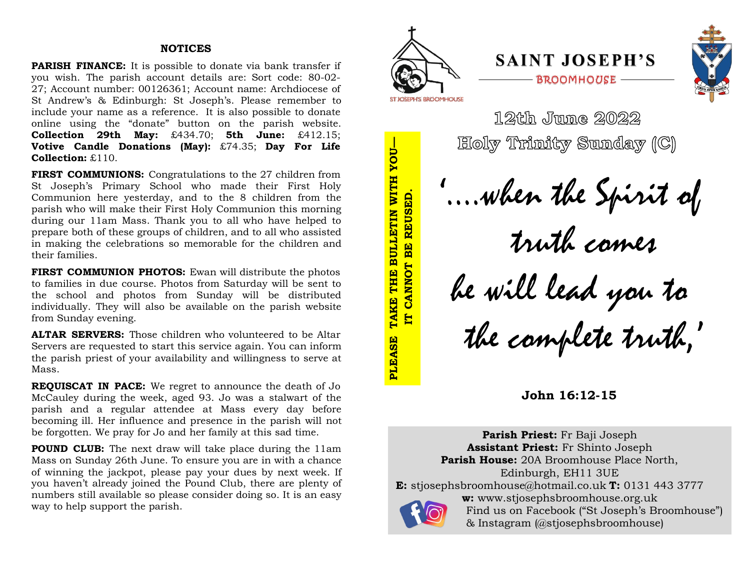# **NOTICES**

**PARISH FINANCE:** It is possible to donate via bank transfer if you wish. The parish account details are: Sort code: 80-02- 27; Account number: 00126361; Account name: Archdiocese of St Andrew's & Edinburgh: St Joseph's. Please remember to include your name as a reference. It is also possible to donate online using the "donate" button on the parish website. **Collection 29th May:** £434.70; **5th June:** £412.15; **Votive Candle Donations (May):** £74.35; **Day For Life Collection:** £110.

**FIRST COMMUNIONS:** Congratulations to the 27 children from St Joseph's Primary School who made their First Holy Communion here yesterday, and to the 8 children from the parish who will make their First Holy Communion this morning during our 11am Mass. Thank you to all who have helped to prepare both of these groups of children, and to all who assisted in making the celebrations so memorable for the children and their families.

FIRST COMMUNION PHOTOS: Ewan will distribute the photos to families in due course. Photos from Saturday will be sent to the school and photos from Sunday will be distributed individually. They will also be available on the parish website from Sunday evening.

**ALTAR SERVERS:** Those children who volunteered to be Altar Servers are requested to start this service again. You can inform the parish priest of your availability and willingness to serve at Mass.

**REQUISCAT IN PACE:** We regret to announce the death of Jo McCauley during the week, aged 93. Jo was a stalwart of the parish and a regular attendee at Mass every day before becoming ill. Her influence and presence in the parish will not be forgotten. We pray for Jo and her family at this sad time.

**POUND CLUB:** The next draw will take place during the 11am Mass on Sunday 26th June. To ensure you are in with a chance of winning the jackpot, please pay your dues by next week. If you haven't already joined the Pound Club, there are plenty of numbers still available so please consider doing so. It is an easy way to help support the parish.



**PLEASE TAKE THE BULLETIN WITH YOU**

**PLEASE** 

**IT CANNOT BE REUSED.**

IT CANNOT BE REUSED

TAKE THE BULLETIN WITH YOU-

# **SAINT JOSEPH'S BROOMHOUSE -**



12th June 2022 Holy Trinity Sunday (C)

'….when the Spirit of

truth comes

he will lead you to the complete truth,'

# **John 16:12-15**

**Parish Priest:** Fr Baji Joseph **Assistant Priest:** Fr Shinto Joseph **Parish House:** 20A Broomhouse Place North, Edinburgh, EH11 3UE **E:** stjosephsbroomhouse@hotmail.co.uk **T:** 0131 443 3777 **w:** www.stjosephsbroomhouse.org.uk Find us on Facebook ("St Joseph's Broomhouse") & Instagram (@stjosephsbroomhouse)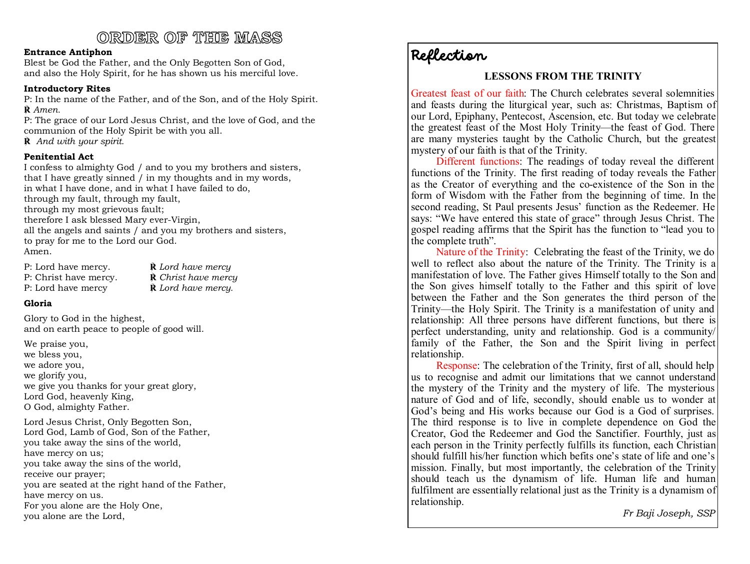# ORDER OF THE MASS

# **Entrance Antiphon**

Blest be God the Father, and the Only Begotten Son of God, and also the Holy Spirit, for he has shown us his merciful love.

# **Introductory Rites**

P: In the name of the Father, and of the Son, and of the Holy Spirit. **℟** *Amen.*

P: The grace of our Lord Jesus Christ, and the love of God, and the communion of the Holy Spirit be with you all.

**℟** *And with your spirit.*

# **Penitential Act**

I confess to almighty God / and to you my brothers and sisters, that I have greatly sinned / in my thoughts and in my words, in what I have done, and in what I have failed to do, through my fault, through my fault, through my most grievous fault; therefore I ask blessed Mary ever-Virgin, all the angels and saints / and you my brothers and sisters, to pray for me to the Lord our God. Amen.

| P: Lord have mercy.   | $\dot{\mathbf{R}}$ Lord have mercy  |
|-----------------------|-------------------------------------|
| P: Christ have mercy. | $\mathbb R$ Christ have mercy       |
| P: Lord have mercy    | $\hat{\mathbf{R}}$ Lord have mercy. |

# **Gloria**

Glory to God in the highest, and on earth peace to people of good will.

We praise you, we bless you, we adore you, we glorify you, we give you thanks for your great glory, Lord God, heavenly King, O God, almighty Father.

Lord Jesus Christ, Only Begotten Son, Lord God, Lamb of God, Son of the Father, you take away the sins of the world, have mercy on us; you take away the sins of the world, receive our prayer; you are seated at the right hand of the Father, have mercy on us. For you alone are the Holy One, you alone are the Lord,

Reflection

# **LESSONS FROM THE TRINITY**

Greatest feast of our faith: The Church celebrates several solemnities and feasts during the liturgical year, such as: Christmas, Baptism of our Lord, Epiphany, Pentecost, Ascension, etc. But today we celebrate the greatest feast of the Most Holy Trinity—the feast of God. There are many mysteries taught by the Catholic Church, but the greatest mystery of our faith is that of the Trinity.

Different functions: The readings of today reveal the different functions of the Trinity. The first reading of today reveals the Father as the Creator of everything and the co-existence of the Son in the form of Wisdom with the Father from the beginning of time. In the second reading, St Paul presents Jesus' function as the Redeemer. He says: "We have entered this state of grace" through Jesus Christ. The gospel reading affirms that the Spirit has the function to "lead you to the complete truth".

Nature of the Trinity: Celebrating the feast of the Trinity, we do well to reflect also about the nature of the Trinity. The Trinity is a manifestation of love. The Father gives Himself totally to the Son and the Son gives himself totally to the Father and this spirit of love between the Father and the Son generates the third person of the Trinity—the Holy Spirit. The Trinity is a manifestation of unity and relationship: All three persons have different functions, but there is perfect understanding, unity and relationship. God is a community/ family of the Father, the Son and the Spirit living in perfect relationship.

Response: The celebration of the Trinity, first of all, should help us to recognise and admit our limitations that we cannot understand the mystery of the Trinity and the mystery of life. The mysterious nature of God and of life, secondly, should enable us to wonder at God's being and His works because our God is a God of surprises. The third response is to live in complete dependence on God the Creator, God the Redeemer and God the Sanctifier. Fourthly, just as each person in the Trinity perfectly fulfills its function, each Christian should fulfill his/her function which befits one's state of life and one's mission. Finally, but most importantly, the celebration of the Trinity should teach us the dynamism of life. Human life and human fulfilment are essentially relational just as the Trinity is a dynamism of relationship.

*Fr Baji Joseph, SSP*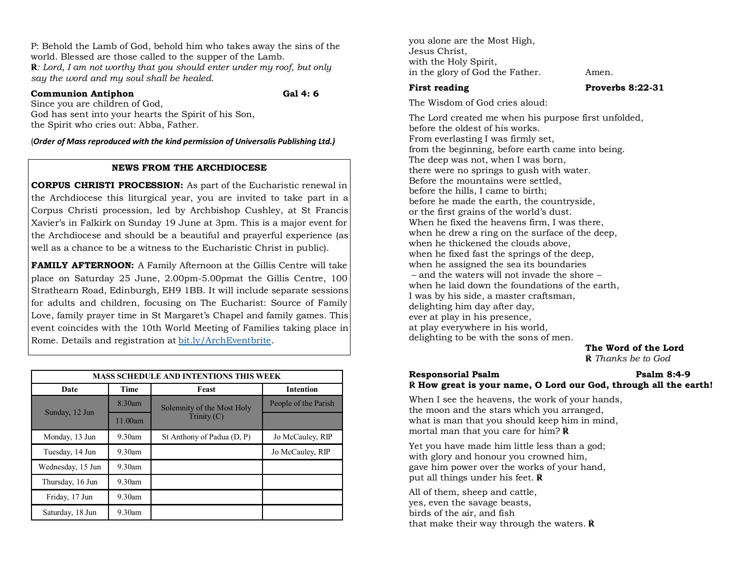P: Behold the Lamb of God, behold him who takes away the sins of the world. Blessed are those called to the supper of the Lamb. **℟***: Lord, I am not worthy that you should enter under my roof, but only say the word and my soul shall be healed.*

### **Communion Antiphon Gal 4: 6**

Since you are children of God, God has sent into your hearts the Spirit of his Son, the Spirit who cries out: Abba, Father.

## (*Order of Mass reproduced with the kind permission of Universalis Publishing Ltd.)*

### **NEWS FROM THE ARCHDIOCESE**

**CORPUS CHRISTI PROCESSION:** As part of the Eucharistic renewal in the Archdiocese this liturgical year, you are invited to take part in a Corpus Christi procession, led by Archbishop Cushley, at St Francis Xavier's in Falkirk on Sunday 19 June at 3pm. This is a major event for the Archdiocese and should be a beautiful and prayerful experience (as well as a chance to be a witness to the Eucharistic Christ in public).

**FAMILY AFTERNOON:** A Family Afternoon at the Gillis Centre will take place on Saturday 25 June, 2.00pm-5.00pmat the Gillis Centre, 100 Strathearn Road, Edinburgh, EH9 1BB. It will include separate sessions for adults and children, focusing on The Eucharist: Source of Family Love, family prayer time in St Margaret's Chapel and family games. This event coincides with the 10th World Meeting of Families taking place in Rome. Details and registration at [bit.ly/ArchEventbrite.](bit.ly/ArchEventbrite)

| <b>MASS SCHEDULE AND INTENTIONS THIS WEEK</b> |             |                                             |                      |
|-----------------------------------------------|-------------|---------------------------------------------|----------------------|
| Date                                          | <b>Time</b> | Feast                                       | <b>Intention</b>     |
|                                               | $8.30$ am   | Solemnity of the Most Holy<br>Trinity $(C)$ | People of the Parish |
| Sunday, 12 Jun                                | 11.00am     |                                             |                      |
| Monday, 13 Jun                                | $9.30$ am   | St Anthony of Padua (D, P)                  | Jo McCauley, RIP     |
| Tuesday, 14 Jun                               | $9.30$ am   |                                             | Jo McCauley, RIP     |
| Wednesday, 15 Jun                             | $9.30$ am   |                                             |                      |
| Thursday, 16 Jun                              | $9.30$ am   |                                             |                      |
| Friday, 17 Jun                                | 9.30am      |                                             |                      |
| Saturday, 18 Jun                              | 9.30am      |                                             |                      |

you alone are the Most High, Jesus Christ, with the Holy Spirit, in the glory of God the Father. Amen.

**First reading Proverbs 8:22-31**

The Wisdom of God cries aloud:

The Lord created me when his purpose first unfolded, before the oldest of his works. From everlasting I was firmly set, from the beginning, before earth came into being. The deep was not, when I was born, there were no springs to gush with water. Before the mountains were settled, before the hills, I came to birth; before he made the earth, the countryside, or the first grains of the world's dust. When he fixed the heavens firm, I was there, when he drew a ring on the surface of the deep, when he thickened the clouds above, when he fixed fast the springs of the deep, when he assigned the sea its boundaries – and the waters will not invade the shore – when he laid down the foundations of the earth, I was by his side, a master craftsman, delighting him day after day, ever at play in his presence, at play everywhere in his world, delighting to be with the sons of men.

# **The Word of the Lord ℟** *Thanks be to God*

# **Responsorial Psalm Psalm Psalm** 8:4-9 **℟ How great is your name, O Lord our God, through all the earth!**

When I see the heavens, the work of your hands, the moon and the stars which you arranged, what is man that you should keep him in mind, mortal man that you care for him? **℟**

Yet you have made him little less than a god; with glory and honour you crowned him, gave him power over the works of your hand, put all things under his feet. **℟**

All of them, sheep and cattle, yes, even the savage beasts, birds of the air, and fish that make their way through the waters. **℟**